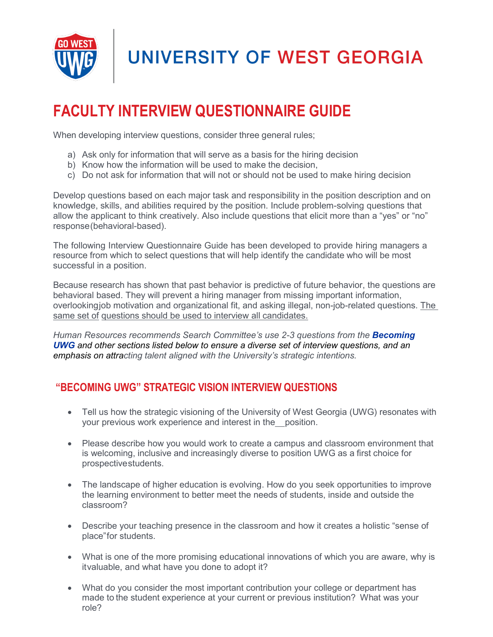

### **FACULTY INTERVIEW QUESTIONNAIRE GUIDE**

When developing interview questions, consider three general rules;

- a) Ask only for information that will serve as a basis for the hiring decision
- b) Know how the information will be used to make the decision.
- c) Do not ask for information that will not or should not be used to make hiring decision

Develop questions based on each major task and responsibility in the position description and on knowledge, skills, and abilities required by the position. Include problem-solving questions that allow the applicant to think creatively. Also include questions that elicit more than a "yes" or "no" response(behavioral-based).

The following Interview Questionnaire Guide has been developed to provide hiring managers a resource from which to select questions that will help identify the candidate who will be most successful in a position.

Because research has shown that past behavior is predictive of future behavior, the questions are behavioral based. They will prevent a hiring manager from missing important information, overlookingjob motivation and organizational fit, and asking illegal, non-job-related questions. The same set of questions should be used to interview all candidates.

*Human Resources recommends Search Committee's use 2-3 questions from the Becoming UWG and other sections listed below to ensure a diverse set of interview questions, and an emphasis on attracting talent aligned with the University's strategic intentions.*

#### **"BECOMING UWG" STRATEGIC VISION INTERVIEW QUESTIONS**

- Tell us how the strategic visioning of the University of West Georgia (UWG) resonates with your previous work experience and interest in the position.
- Please describe how you would work to create a campus and classroom environment that is welcoming, inclusive and increasingly diverse to position UWG as a first choice for prospectivestudents.
- The landscape of higher education is evolving. How do you seek opportunities to improve the learning environment to better meet the needs of students, inside and outside the classroom?
- Describe your teaching presence in the classroom and how it creates a holistic "sense of place"for students.
- What is one of the more promising educational innovations of which you are aware, why is itvaluable, and what have you done to adopt it?
- What do you consider the most important contribution your college or department has made to the student experience at your current or previous institution? What was your role?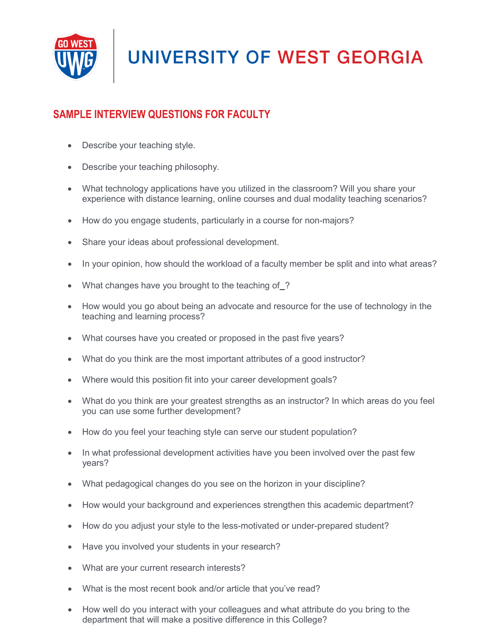

### **SAMPLE INTERVIEW QUESTIONS FOR FACULTY**

- Describe your teaching style.
- Describe your teaching philosophy.
- What technology applications have you utilized in the classroom? Will you share your experience with distance learning, online courses and dual modality teaching scenarios?
- How do you engage students, particularly in a course for non-majors?
- Share your ideas about professional development.
- In your opinion, how should the workload of a faculty member be split and into what areas?
- What changes have you brought to the teaching of ?
- How would you go about being an advocate and resource for the use of technology in the teaching and learning process?
- What courses have you created or proposed in the past five years?
- What do you think are the most important attributes of a good instructor?
- Where would this position fit into your career development goals?
- What do you think are your greatest strengths as an instructor? In which areas do you feel you can use some further development?
- How do you feel your teaching style can serve our student population?
- In what professional development activities have you been involved over the past few years?
- What pedagogical changes do you see on the horizon in your discipline?
- How would your background and experiences strengthen this academic department?
- How do you adjust your style to the less-motivated or under-prepared student?
- Have you involved your students in your research?
- What are your current research interests?
- What is the most recent book and/or article that you've read?
- How well do you interact with your colleagues and what attribute do you bring to the department that will make a positive difference in this College?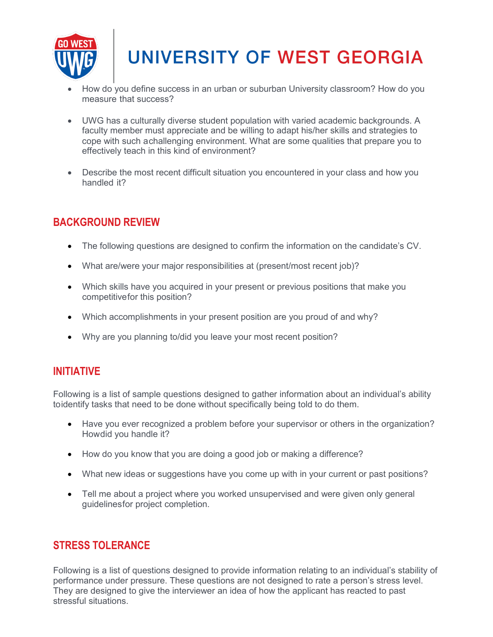

# **UNIVERSITY OF WEST GEORGIA**

- How do you define success in an urban or suburban University classroom? How do you measure that success?
- UWG has a culturally diverse student population with varied academic backgrounds. A faculty member must appreciate and be willing to adapt his/her skills and strategies to cope with such achallenging environment. What are some qualities that prepare you to effectively teach in this kind of environment?
- Describe the most recent difficult situation you encountered in your class and how you handled it?

### **BACKGROUND REVIEW**

- The following questions are designed to confirm the information on the candidate's CV.
- What are/were your major responsibilities at (present/most recent job)?
- Which skills have you acquired in your present or previous positions that make you competitivefor this position?
- Which accomplishments in your present position are you proud of and why?
- Why are you planning to/did you leave your most recent position?

#### **INITIATIVE**

Following is a list of sample questions designed to gather information about an individual's ability toidentify tasks that need to be done without specifically being told to do them.

- Have you ever recognized a problem before your supervisor or others in the organization? Howdid you handle it?
- How do you know that you are doing a good job or making a difference?
- What new ideas or suggestions have you come up with in your current or past positions?
- Tell me about a project where you worked unsupervised and were given only general guidelinesfor project completion.

#### **STRESS TOLERANCE**

Following is a list of questions designed to provide information relating to an individual's stability of performance under pressure. These questions are not designed to rate a person's stress level. They are designed to give the interviewer an idea of how the applicant has reacted to past stressful situations.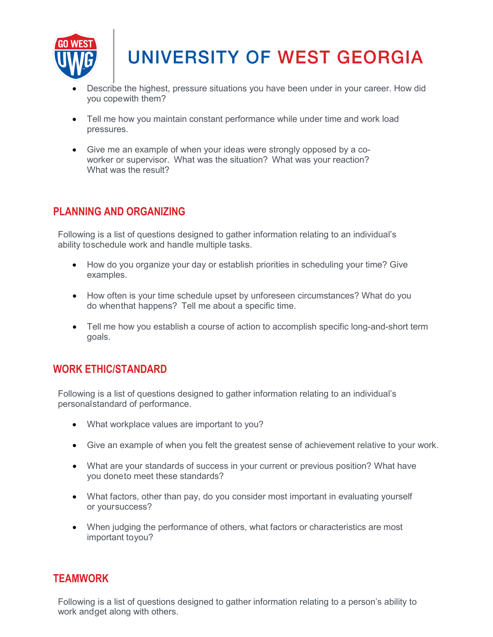

## **UNIVERSITY OF WEST GEORGIA**

- Describe the highest, pressure situations you have been under in your career. How did you copewith them?
- Tell me how you maintain constant performance while under time and work load pressures.
- Give me an example of when your ideas were strongly opposed by a coworker or supervisor. What was the situation? What was your reaction? What was the result?

#### **PLANNING AND ORGANIZING**

Following is a list of questions designed to gather information relating to an individual's ability toschedule work and handle multiple tasks.

- How do you organize your day or establish priorities in scheduling your time? Give examples.
- How often is your time schedule upset by unforeseen circumstances? What do you do whenthat happens? Tell me about a specific time.
- Tell me how you establish a course of action to accomplish specific long-and-short term goals.

#### **WORK ETHIC/STANDARD**

Following is a list of questions designed to gather information relating to an individual's personalstandard of performance.

- What workplace values are important to you?
- Give an example of when you felt the greatest sense of achievement relative to your work.
- What are your standards of success in your current or previous position? What have you doneto meet these standards?
- What factors, other than pay, do you consider most important in evaluating yourself or yoursuccess?
- When judging the performance of others, what factors or characteristics are most important toyou?

#### **TEAMWORK**

Following is a list of questions designed to gather information relating to a person's ability to work andget along with others.